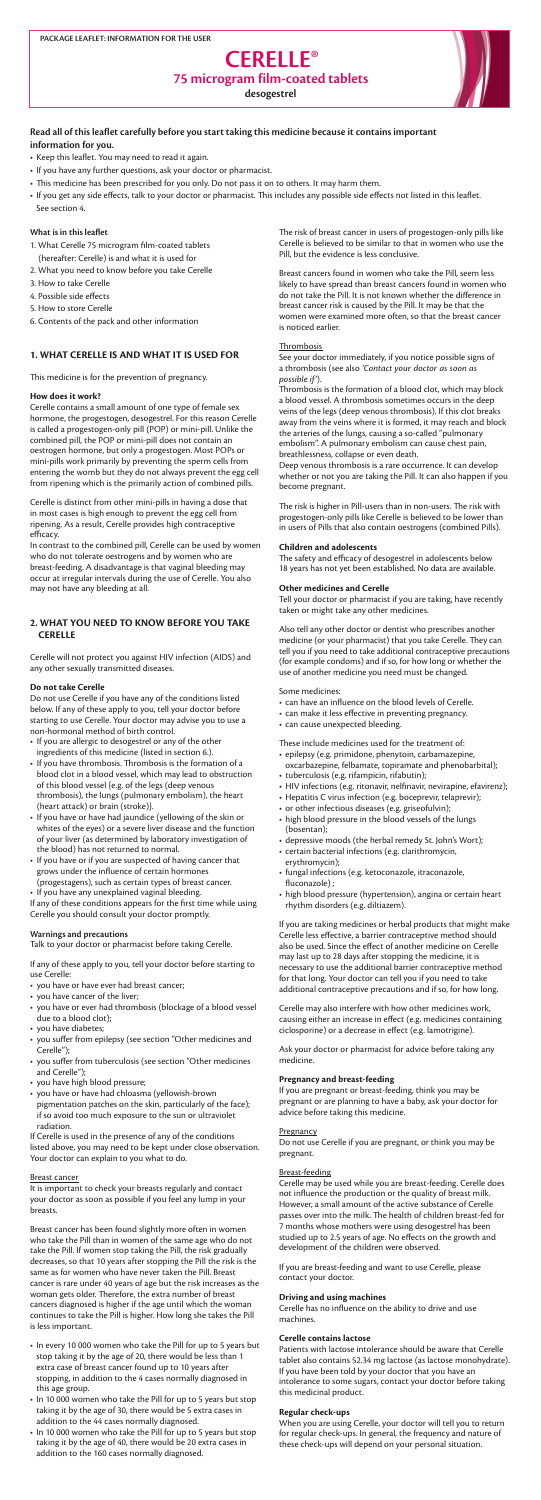# **What is in this leaflet**

- 1. What Cerelle 75 microgram film-coated tablets (hereafter: Cerelle) is and what it is used for
- 2. What you need to know before you take Cerelle
- 3. How to take Cerelle
- 4. Possible side effects
- 5. How to store Cerelle
- 6. Contents of the pack and other information

# **1. WHAT CERELLE IS AND WHAT IT IS USED FOR**

This medicine is for the prevention of pregnancy.

# **How does it work?**

Cerelle contains a small amount of one type of female sex hormone, the progestogen, desogestrel. For this reason Cerelle is called a progestogen-only pill (POP) or mini-pill. Unlike the combined pill, the POP or mini-pill does not contain an oestrogen hormone, but only a progestogen. Most POPs or mini-pills work primarily by preventing the sperm cells from entering the womb but they do not always prevent the egg cell from ripening which is the primarily action of combined pills.

Cerelle is distinct from other mini-pills in having a dose that in most cases is high enough to prevent the egg cell from ripening. As a result, Cerelle provides high contraceptive efficacy.

In contrast to the combined pill, Cerelle can be used by women who do not tolerate oestrogens and by women who are breast-feeding. A disadvantage is that vaginal bleeding may occur at irregular intervals during the use of Cerelle. You also may not have any bleeding at all.

# **2. WHAT YOU NEED TO KNOW BEFORE YOU TAKE CERELLE**

Cerelle will not protect you against HIV infection (AIDS) and any other sexually transmitted diseases.

#### **Do not take Cerelle**

Do not use Cerelle if you have any of the conditions listed below. If any of these apply to you, tell your doctor before starting to use Cerelle. Your doctor may advise you to use a non-hormonal method of birth control.

- If you are allergic to desogestrel or any of the other ingredients of this medicine (listed in section 6.).
- If you have thrombosis. Thrombosis is the formation of a blood clot in a blood vessel, which may lead to obstruction of this blood vessel {e.g. of the legs (deep venous thrombosis), the lungs (pulmonary embolism), the heart (heart attack) or brain (stroke)}.
- • If you have or have had jaundice (yellowing of the skin or whites of the eyes) or a severe liver disease and the function of your liver (as determined by laboratory investigation of the blood) has not returned to normal.
- If you have or if you are suspected of having cancer that grows under the influence of certain hormones (progestagens), such as certain types of breast cancer. • If you have any unexplained vaginal bleeding.

- you have or have ever had breast cancer;
- you have cancer of the liver;
- you have or ever had thrombosis (blockage of a blood vessel due to a blood clot);
- you have diabetes;
- you suffer from epilepsy (see section "Other medicines and Cerelle");
- you suffer from tuberculosis (see section "Other medicines and Cerelle");
- you have high blood pressure;
- • you have or have had chloasma (yellowish-brown pigmentation patches on the skin, particularly of the face); if so avoid too much exposure to the sun or ultraviolet radiation.

- In every 10 000 women who take the Pill for up to 5 years but stop taking it by the age of 20, there would be less than 1 extra case of breast cancer found up to 10 years after stopping, in addition to the 4 cases normally diagnosed in this age group.
- In 10 000 women who take the Pill for up to 5 years but stop taking it by the age of 30, there would be 5 extra cases in addition to the 44 cases normally diagnosed.
- In 10 000 women who take the Pill for up to 5 years but stop taking it by the age of 40, there would be 20 extra cases in addition to the 160 cases normally diagnosed.

If any of these conditions appears for the first time while using Cerelle you should consult your doctor promptly.

# **Warnings and precautions**

Talk to your doctor or pharmacist before taking Cerelle.

- Keep this leaflet. You may need to read it again.
- If you have any further questions, ask your doctor or pharmacist.
- This medicine has been prescribed for you only. Do not pass it on to others. It may harm them.
- If you get any side effects, talk to your doctor or pharmacist. This includes any possible side effects not listed in this leaflet. See section 4.

If any of these apply to you, tell your doctor before starting to use Cerelle:

If Cerelle is used in the presence of any of the conditions listed above, you may need to be kept under close observation. Your doctor can explain to you what to do.

## Breast cancer

It is important to check your breasts regularly and contact your doctor as soon as possible if you feel any lump in your breasts.

Breast cancer has been found slightly more often in women who take the Pill than in women of the same age who do not take the Pill. If women stop taking the Pill, the risk gradually decreases, so that 10 years after stopping the Pill the risk is the same as for women who have never taken the Pill. Breast cancer is rare under 40 years of age but the risk increases as the woman gets older. Therefore, the extra number of breast cancers diagnosed is higher if the age until which the woman continues to take the Pill is higher. How long she takes the Pill is less important.

# **CERELLE® 75 microgram film-coated tablets desogestrel**



The risk of breast cancer in users of progestogen-only pills like Cerelle is believed to be similar to that in women who use the Pill, but the evidence is less conclusive.

Breast cancers found in women who take the Pill, seem less likely to have spread than breast cancers found in women who do not take the Pill. It is not known whether the difference in breast cancer risk is caused by the Pill. It may be that the women were examined more often, so that the breast cancer is noticed earlier.

#### **Thrombosis**

See your doctor immediately, if you notice possible signs of a thrombosis (see also *'Contact your doctor as soon as possible if'*).

Thrombosis is the formation of a blood clot, which may block a blood vessel. A thrombosis sometimes occurs in the deep veins of the legs (deep venous thrombosis). If this clot breaks away from the veins where it is formed, it may reach and block the arteries of the lungs, causing a so-called "pulmonary embolism". A pulmonary embolism can cause chest pain, breathlessness, collapse or even death.

Deep venous thrombosis is a rare occurrence. It can develop whether or not you are taking the Pill. It can also happen if you become pregnant.

The risk is higher in Pill-users than in non-users. The risk with progestogen-only pills like Cerelle is believed to be lower than in users of Pills that also contain oestrogens (combined Pills).

#### **Children and adolescents**

The safety and efficacy of desogestrel in adolescents below 18 years has not yet been established. No data are available.

#### **Other medicines and Cerelle**

Tell your doctor or pharmacist if you are taking, have recently taken or might take any other medicines.

Also tell any other doctor or dentist who prescribes another medicine (or your pharmacist) that you take Cerelle. They can tell you if you need to take additional contraceptive precautions (for example condoms) and if so, for how long or whether the use of another medicine you need must be changed.

Some medicines:

- • can have an influence on the blood levels of Cerelle.
- • can make it less effective in preventing pregnancy.
- • can cause unexpected bleeding.

These include medicines used for the treatment of:

- • epilepsy (e.g. primidone, phenytoin, carbamazepine, oxcarbazepine, felbamate, topiramate and phenobarbital); • tuberculosis (e.g. rifampicin, rifabutin);
- HIV infections (e.g. ritonavir, nelfinavir, nevirapine, efavirenz);
- Hepatitis C virus infection (e.g. boceprevir, telaprevir);
- or other infectious diseases (e.g. griseofulvin);
- high blood pressure in the blood vessels of the lungs (bosentan);
- depressive moods (the herbal remedy St. John's Wort);
- • certain bacterial infections (e.g. clarithromycin, erythromycin);
- fungal infections (e.g. ketoconazole, itraconazole, fluconazole) ;
- high blood pressure (hypertension), angina or certain heart rhythm disorders (e.g. diltiazem).

If you are taking medicines or herbal products that might make Cerelle less effective, a barrier contraceptive method should also be used. Since the effect of another medicine on Cerelle may last up to 28 days after stopping the medicine, it is necessary to use the additional barrier contraceptive method for that long. Your doctor can tell you if you need to take additional contraceptive precautions and if so, for how long.

Cerelle may also interfere with how other medicines work, causing either an increase in effect (e.g. medicines containing ciclosporine) or a decrease in effect (e.g. lamotrigine).

Ask your doctor or pharmacist for advice before taking any medicine.

## **Pregnancy and breast-feeding**

If you are pregnant or breast-feeding, think you may be pregnant or are planning to have a baby, ask your doctor for advice before taking this medicine.

## **Pregnancy**

Do not use Cerelle if you are pregnant, or think you may be pregnant.

## Breast-feeding

Cerelle may be used while you are breast-feeding. Cerelle does not influence the production or the quality of breast milk. However, a small amount of the active substance of Cerelle passes over into the milk. The health of children breast-fed for 7 months whose mothers were using desogestrel has been studied up to 2.5 years of age. No effects on the growth and development of the children were observed.

If you are breast-feeding and want to use Cerelle, please contact your doctor.

# **Driving and using machines**

Cerelle has no influence on the ability to drive and use machines.

# **Cerelle contains lactose**

Patients with lactose intolerance should be aware that Cerelle tablet also contains 52.34 mg lactose (as lactose monohydrate). If you have been told by your doctor that you have an intolerance to some sugars, contact your doctor before taking this medicinal product.

# **Regular check-ups**

When you are using Cerelle, your doctor will tell you to return for regular check-ups. In general, the frequency and nature of these check-ups will depend on your personal situation.